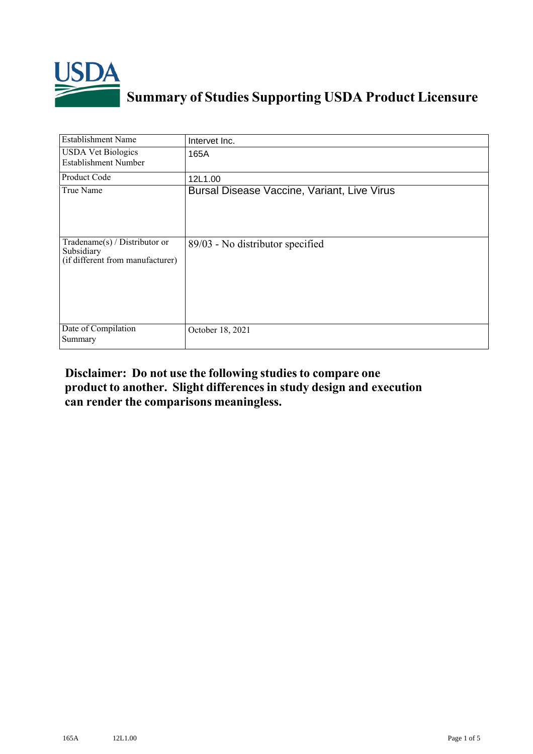

## **Summary of Studies Supporting USDA Product Licensure**

| <b>Establishment Name</b>                                                       | Intervet Inc.                               |
|---------------------------------------------------------------------------------|---------------------------------------------|
| <b>USDA Vet Biologics</b><br><b>Establishment Number</b>                        | 165A                                        |
| Product Code                                                                    | 12L1.00                                     |
| True Name                                                                       | Bursal Disease Vaccine, Variant, Live Virus |
| Tradename(s) / Distributor or<br>Subsidiary<br>(if different from manufacturer) | 89/03 - No distributor specified            |
| Date of Compilation<br>Summary                                                  | October 18, 2021                            |

## **Disclaimer: Do not use the following studiesto compare one product to another. Slight differencesin study design and execution can render the comparisons meaningless.**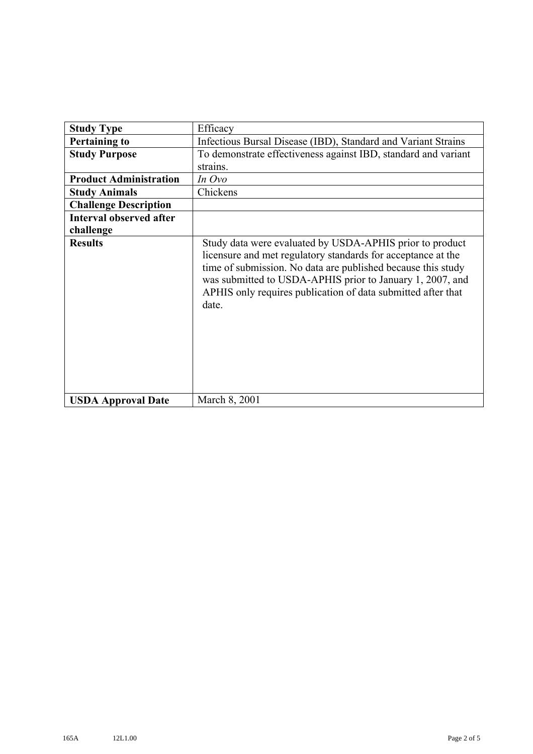| <b>Study Type</b>              | Efficacy                                                                                                                                                                                                                                                                                                                       |
|--------------------------------|--------------------------------------------------------------------------------------------------------------------------------------------------------------------------------------------------------------------------------------------------------------------------------------------------------------------------------|
| <b>Pertaining to</b>           | Infectious Bursal Disease (IBD), Standard and Variant Strains                                                                                                                                                                                                                                                                  |
| <b>Study Purpose</b>           | To demonstrate effectiveness against IBD, standard and variant                                                                                                                                                                                                                                                                 |
|                                | strains.                                                                                                                                                                                                                                                                                                                       |
| <b>Product Administration</b>  | In Ovo                                                                                                                                                                                                                                                                                                                         |
| <b>Study Animals</b>           | Chickens                                                                                                                                                                                                                                                                                                                       |
| <b>Challenge Description</b>   |                                                                                                                                                                                                                                                                                                                                |
| <b>Interval observed after</b> |                                                                                                                                                                                                                                                                                                                                |
| challenge                      |                                                                                                                                                                                                                                                                                                                                |
| <b>Results</b>                 | Study data were evaluated by USDA-APHIS prior to product<br>licensure and met regulatory standards for acceptance at the<br>time of submission. No data are published because this study<br>was submitted to USDA-APHIS prior to January 1, 2007, and<br>APHIS only requires publication of data submitted after that<br>date. |
| <b>USDA Approval Date</b>      | March 8, 2001                                                                                                                                                                                                                                                                                                                  |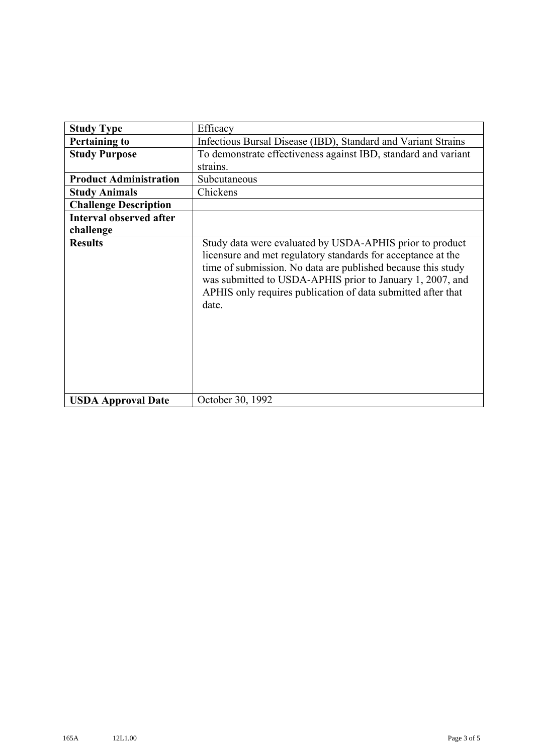| <b>Study Type</b>              | Efficacy                                                                                                                                                                                                                                                                                                                       |
|--------------------------------|--------------------------------------------------------------------------------------------------------------------------------------------------------------------------------------------------------------------------------------------------------------------------------------------------------------------------------|
| <b>Pertaining to</b>           | Infectious Bursal Disease (IBD), Standard and Variant Strains                                                                                                                                                                                                                                                                  |
| <b>Study Purpose</b>           | To demonstrate effectiveness against IBD, standard and variant                                                                                                                                                                                                                                                                 |
|                                | strains.                                                                                                                                                                                                                                                                                                                       |
| <b>Product Administration</b>  | Subcutaneous                                                                                                                                                                                                                                                                                                                   |
| <b>Study Animals</b>           | Chickens                                                                                                                                                                                                                                                                                                                       |
| <b>Challenge Description</b>   |                                                                                                                                                                                                                                                                                                                                |
| <b>Interval observed after</b> |                                                                                                                                                                                                                                                                                                                                |
| challenge                      |                                                                                                                                                                                                                                                                                                                                |
| <b>Results</b>                 | Study data were evaluated by USDA-APHIS prior to product<br>licensure and met regulatory standards for acceptance at the<br>time of submission. No data are published because this study<br>was submitted to USDA-APHIS prior to January 1, 2007, and<br>APHIS only requires publication of data submitted after that<br>date. |
| <b>USDA Approval Date</b>      | October 30, 1992                                                                                                                                                                                                                                                                                                               |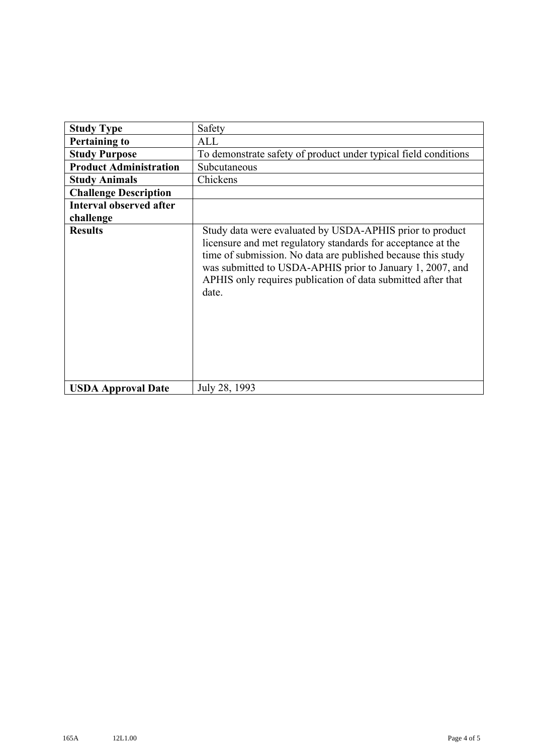| <b>Study Type</b>              | Safety                                                                                                                                                                                                                                                                                                                         |
|--------------------------------|--------------------------------------------------------------------------------------------------------------------------------------------------------------------------------------------------------------------------------------------------------------------------------------------------------------------------------|
| <b>Pertaining to</b>           | ALL                                                                                                                                                                                                                                                                                                                            |
| <b>Study Purpose</b>           | To demonstrate safety of product under typical field conditions                                                                                                                                                                                                                                                                |
| <b>Product Administration</b>  | Subcutaneous                                                                                                                                                                                                                                                                                                                   |
| <b>Study Animals</b>           | Chickens                                                                                                                                                                                                                                                                                                                       |
| <b>Challenge Description</b>   |                                                                                                                                                                                                                                                                                                                                |
| <b>Interval observed after</b> |                                                                                                                                                                                                                                                                                                                                |
| challenge                      |                                                                                                                                                                                                                                                                                                                                |
| <b>Results</b>                 | Study data were evaluated by USDA-APHIS prior to product<br>licensure and met regulatory standards for acceptance at the<br>time of submission. No data are published because this study<br>was submitted to USDA-APHIS prior to January 1, 2007, and<br>APHIS only requires publication of data submitted after that<br>date. |
| <b>USDA Approval Date</b>      | July 28, 1993                                                                                                                                                                                                                                                                                                                  |